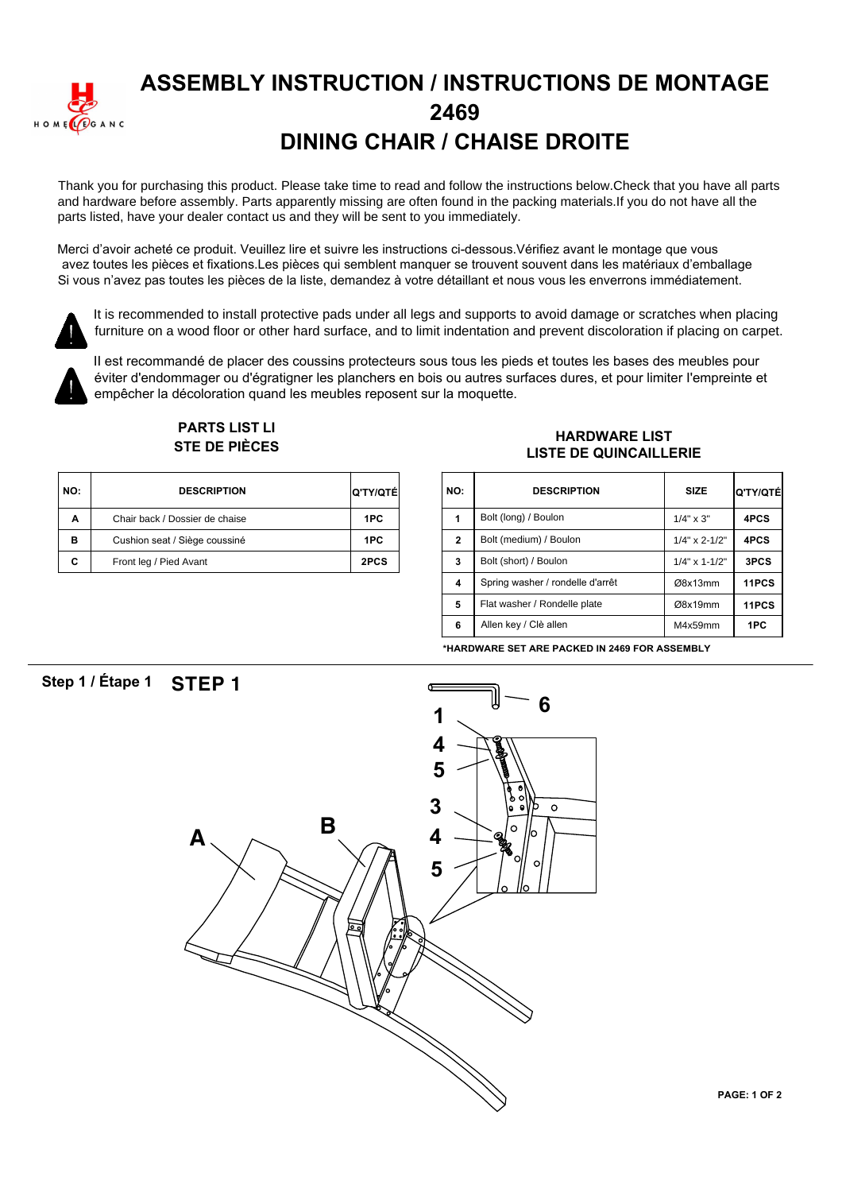

### **ASSEMBLY INSTRUCTION / INSTRUCTIONS DE MONTAGE 2469 DINING CHAIR / CHAISE DROITE**

Thank you for purchasing this product. Please take time to read and follow the instructions below.Check that you have all parts and hardware before assembly. Parts apparently missing are often found in the packing materials.If you do not have all the parts listed, have your dealer contact us and they will be sent to you immediately.

Merci d'avoir acheté ce produit. Veuillez lire et suivre les instructions ci-dessous. Vérifiez avant le montage que vous avez toutes les pièces et fixations.Les pièces qui semblent manquer se trouvent souvent dans les matériaux d'emballage Si vous n'avez pas toutes les pièces de la liste, demandez à votre détaillant et nous vous les enverrons immédiatement.



It is recommended to install protective pads under all legs and supports to avoid damage or scratches when placing furniture on a wood floor or other hard surface, and to limit indentation and prevent discoloration if placing on carpet.



Il est recommandé de placer des coussins protecteurs sous tous les pieds et toutes les bases des meubles pour éviter d'endommager ou d'égratigner les planchers en bois ou autres surfaces dures, et pour limiter l'empreinte et empêcher la décoloration quand les meubles reposent sur la moquette.



## **PARTS LIST /,**

| NO: | <b>DESCRIPTION</b>             | <b>Q'TY/QTÉ</b> | <b>NO</b> |
|-----|--------------------------------|-----------------|-----------|
| Α   | Chair back / Dossier de chaise | 1PC             |           |
| в   | Cushion seat / Siège coussiné  | 1PC             | 2         |
| C   | Front leg / Pied Avant         | 2PCS            | 3         |

#### FANTS LIST LIST<br>STE DE PIÈCES **FRANCISCHE LIST**<br>A GEOGRAPHIC LIST DE QUINQUILLE **LISTE DE QUINCAILLERIE**

| TY/QTÉİ | NO:            | <b>DESCRIPTION</b>               | <b>SIZE</b>      | Q'TY/QTÉ |
|---------|----------------|----------------------------------|------------------|----------|
| 1PC     | 1              | Bolt (long) / Boulon             | $1/4" \times 3"$ | 4PCS     |
| 1PC     | $\overline{2}$ | Bolt (medium) / Boulon           | $1/4$ " x 2-1/2" | 4PCS     |
| 2PCS    | 3              | Bolt (short) / Boulon            | $1/4$ " x 1-1/2" | 3PCS     |
|         | $\overline{4}$ | Spring washer / rondelle d'arrêt | Ø8x13mm          | 11PCS    |
|         | 5              | Flat washer / Rondelle plate     | Ø8x19mm          | 11PCS    |
|         | 6              | Allen key / Clè allen            | M4x59mm          | 1PC      |

**\*HARDWARE SET ARE PACKED IN 2469 FOR ASSEMBLY**

### Step 1 / Etape 1 **STEP 1**